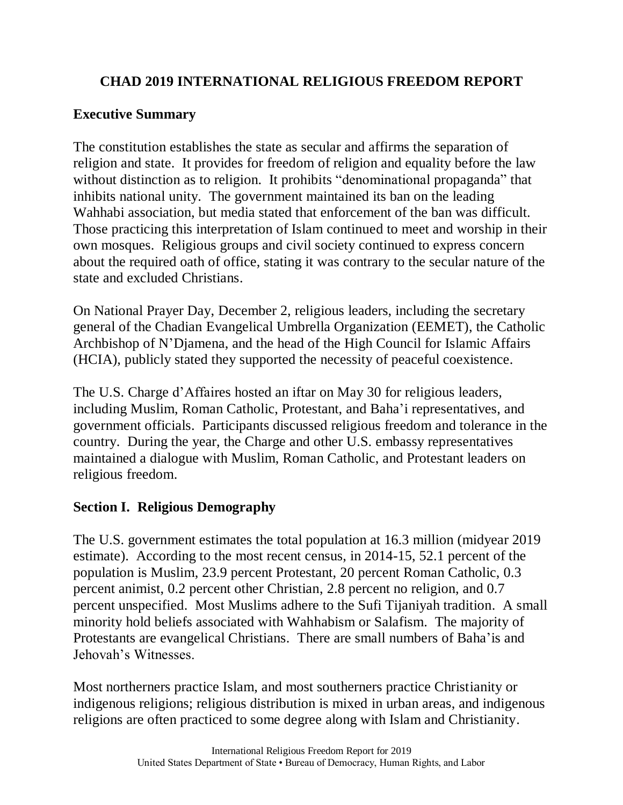# **CHAD 2019 INTERNATIONAL RELIGIOUS FREEDOM REPORT**

## **Executive Summary**

The constitution establishes the state as secular and affirms the separation of religion and state. It provides for freedom of religion and equality before the law without distinction as to religion. It prohibits "denominational propaganda" that inhibits national unity. The government maintained its ban on the leading Wahhabi association, but media stated that enforcement of the ban was difficult. Those practicing this interpretation of Islam continued to meet and worship in their own mosques. Religious groups and civil society continued to express concern about the required oath of office, stating it was contrary to the secular nature of the state and excluded Christians.

On National Prayer Day, December 2, religious leaders, including the secretary general of the Chadian Evangelical Umbrella Organization (EEMET), the Catholic Archbishop of N'Djamena, and the head of the High Council for Islamic Affairs (HCIA), publicly stated they supported the necessity of peaceful coexistence.

The U.S. Charge d'Affaires hosted an iftar on May 30 for religious leaders, including Muslim, Roman Catholic, Protestant, and Baha'i representatives, and government officials. Participants discussed religious freedom and tolerance in the country. During the year, the Charge and other U.S. embassy representatives maintained a dialogue with Muslim, Roman Catholic, and Protestant leaders on religious freedom.

# **Section I. Religious Demography**

The U.S. government estimates the total population at 16.3 million (midyear 2019 estimate). According to the most recent census, in 2014-15, 52.1 percent of the population is Muslim, 23.9 percent Protestant, 20 percent Roman Catholic, 0.3 percent animist, 0.2 percent other Christian, 2.8 percent no religion, and 0.7 percent unspecified. Most Muslims adhere to the Sufi Tijaniyah tradition. A small minority hold beliefs associated with Wahhabism or Salafism. The majority of Protestants are evangelical Christians. There are small numbers of Baha'is and Jehovah's Witnesses.

Most northerners practice Islam, and most southerners practice Christianity or indigenous religions; religious distribution is mixed in urban areas, and indigenous religions are often practiced to some degree along with Islam and Christianity.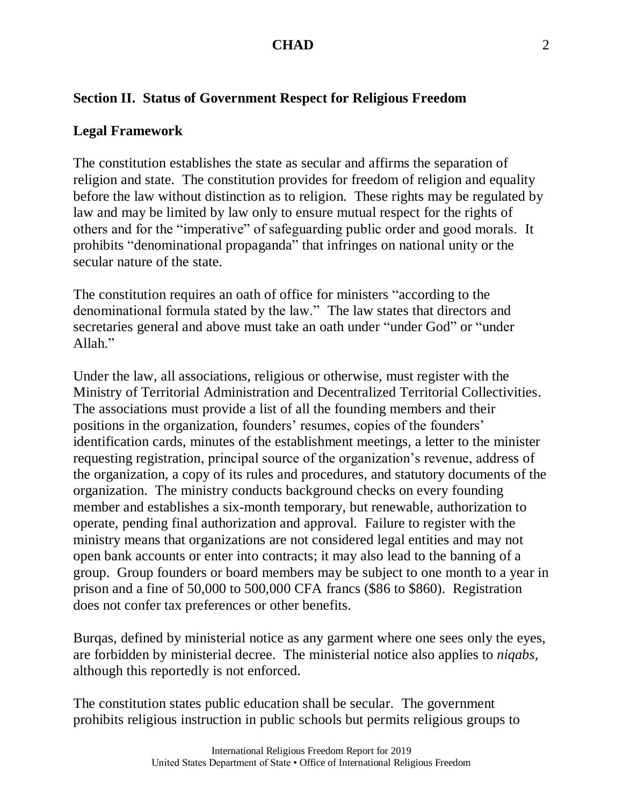## **Section II. Status of Government Respect for Religious Freedom**

### **Legal Framework**

The constitution establishes the state as secular and affirms the separation of religion and state. The constitution provides for freedom of religion and equality before the law without distinction as to religion. These rights may be regulated by law and may be limited by law only to ensure mutual respect for the rights of others and for the "imperative" of safeguarding public order and good morals. It prohibits "denominational propaganda" that infringes on national unity or the secular nature of the state.

The constitution requires an oath of office for ministers "according to the denominational formula stated by the law." The law states that directors and secretaries general and above must take an oath under "under God" or "under Allah."

Under the law, all associations, religious or otherwise, must register with the Ministry of Territorial Administration and Decentralized Territorial Collectivities. The associations must provide a list of all the founding members and their positions in the organization, founders' resumes, copies of the founders' identification cards, minutes of the establishment meetings, a letter to the minister requesting registration, principal source of the organization's revenue, address of the organization, a copy of its rules and procedures, and statutory documents of the organization. The ministry conducts background checks on every founding member and establishes a six-month temporary, but renewable, authorization to operate, pending final authorization and approval. Failure to register with the ministry means that organizations are not considered legal entities and may not open bank accounts or enter into contracts; it may also lead to the banning of a group. Group founders or board members may be subject to one month to a year in prison and a fine of 50,000 to 500,000 CFA francs (\$86 to \$860). Registration does not confer tax preferences or other benefits.

Burqas, defined by ministerial notice as any garment where one sees only the eyes, are forbidden by ministerial decree. The ministerial notice also applies to *niqabs,* although this reportedly is not enforced.

The constitution states public education shall be secular. The government prohibits religious instruction in public schools but permits religious groups to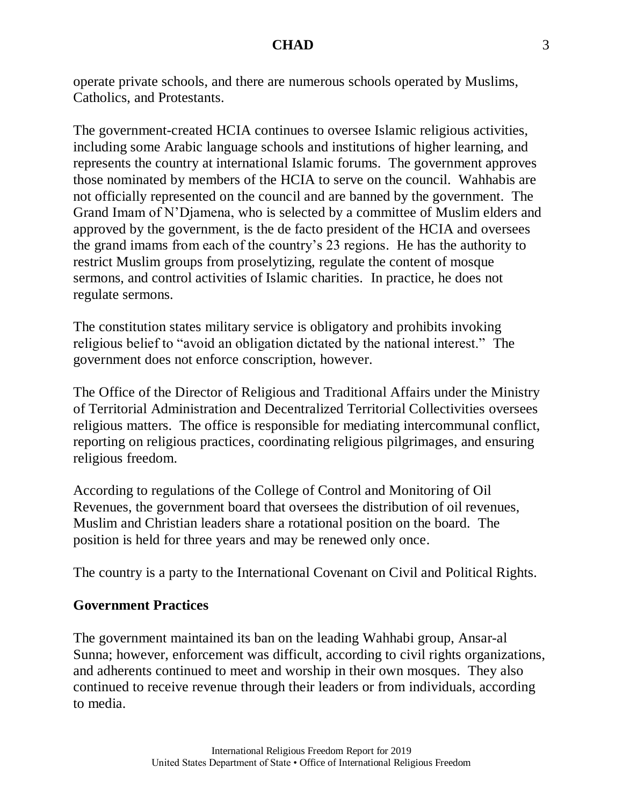operate private schools, and there are numerous schools operated by Muslims, Catholics, and Protestants.

The government-created HCIA continues to oversee Islamic religious activities, including some Arabic language schools and institutions of higher learning, and represents the country at international Islamic forums. The government approves those nominated by members of the HCIA to serve on the council. Wahhabis are not officially represented on the council and are banned by the government. The Grand Imam of N'Djamena, who is selected by a committee of Muslim elders and approved by the government, is the de facto president of the HCIA and oversees the grand imams from each of the country's 23 regions. He has the authority to restrict Muslim groups from proselytizing, regulate the content of mosque sermons, and control activities of Islamic charities. In practice, he does not regulate sermons.

The constitution states military service is obligatory and prohibits invoking religious belief to "avoid an obligation dictated by the national interest." The government does not enforce conscription, however.

The Office of the Director of Religious and Traditional Affairs under the Ministry of Territorial Administration and Decentralized Territorial Collectivities oversees religious matters. The office is responsible for mediating intercommunal conflict, reporting on religious practices, coordinating religious pilgrimages, and ensuring religious freedom.

According to regulations of the College of Control and Monitoring of Oil Revenues, the government board that oversees the distribution of oil revenues, Muslim and Christian leaders share a rotational position on the board. The position is held for three years and may be renewed only once.

The country is a party to the International Covenant on Civil and Political Rights.

### **Government Practices**

The government maintained its ban on the leading Wahhabi group, Ansar-al Sunna; however, enforcement was difficult, according to civil rights organizations, and adherents continued to meet and worship in their own mosques. They also continued to receive revenue through their leaders or from individuals, according to media.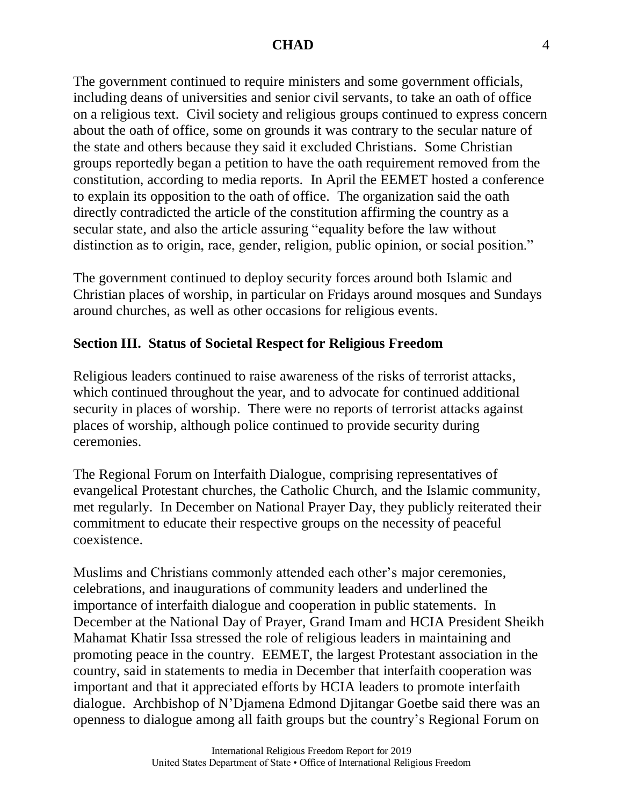### **CHAD** 4

The government continued to require ministers and some government officials, including deans of universities and senior civil servants, to take an oath of office on a religious text. Civil society and religious groups continued to express concern about the oath of office, some on grounds it was contrary to the secular nature of the state and others because they said it excluded Christians. Some Christian groups reportedly began a petition to have the oath requirement removed from the constitution, according to media reports. In April the EEMET hosted a conference to explain its opposition to the oath of office. The organization said the oath directly contradicted the article of the constitution affirming the country as a secular state, and also the article assuring "equality before the law without distinction as to origin, race, gender, religion, public opinion, or social position."

The government continued to deploy security forces around both Islamic and Christian places of worship, in particular on Fridays around mosques and Sundays around churches, as well as other occasions for religious events.

### **Section III. Status of Societal Respect for Religious Freedom**

Religious leaders continued to raise awareness of the risks of terrorist attacks, which continued throughout the year, and to advocate for continued additional security in places of worship. There were no reports of terrorist attacks against places of worship, although police continued to provide security during ceremonies.

The Regional Forum on Interfaith Dialogue, comprising representatives of evangelical Protestant churches, the Catholic Church, and the Islamic community, met regularly. In December on National Prayer Day, they publicly reiterated their commitment to educate their respective groups on the necessity of peaceful coexistence.

Muslims and Christians commonly attended each other's major ceremonies, celebrations, and inaugurations of community leaders and underlined the importance of interfaith dialogue and cooperation in public statements. In December at the National Day of Prayer, Grand Imam and HCIA President Sheikh Mahamat Khatir Issa stressed the role of religious leaders in maintaining and promoting peace in the country. EEMET, the largest Protestant association in the country, said in statements to media in December that interfaith cooperation was important and that it appreciated efforts by HCIA leaders to promote interfaith dialogue. Archbishop of N'Djamena Edmond Djitangar Goetbe said there was an openness to dialogue among all faith groups but the country's Regional Forum on